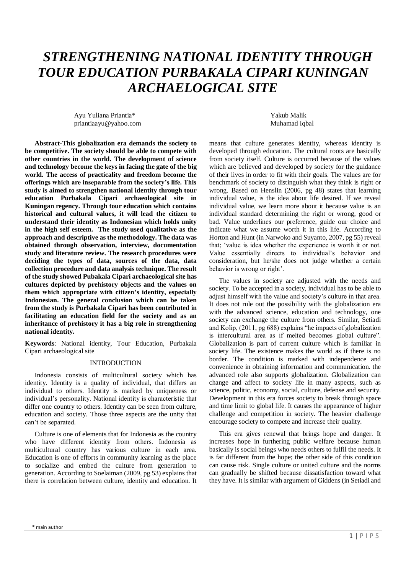# *STRENGTHENING NATIONAL IDENTITY THROUGH TOUR EDUCATION PURBAKALA CIPARI KUNINGAN ARCHAELOGICAL SITE*

Ayu Yuliana Priantia\* Yakub Malik priantiaayu@yahoo.com Muhamad Iqbal

**Abstract-This globalization era demands the society to be competitive. The society should be able to compete with other countries in the world. The development of science and technology become the keys in facing the gate of the big world. The access of practicality and freedom become the offerings which are inseparable from the society's life. This study is aimed to strengthen national identity through tour education Purbakala Cipari archaeological site in Kuningan regency. Through tour education which contains historical and cultural values, it will lead the citizen to understand their identity as Indonesian which holds unity in the high self esteem. The study used qualitative as the approach and descriptive as the methodology. The data was obtained through observation, interview, documentation study and literature review. The research procedures were deciding the types of data, sources of the data, data collection procedure and data analysis technique. The result of the study showed Pubakala Cipari archaeological site has cultures depicted by prehistory objects and the values on them which appropriate with citizen's identity, especially Indonesian. The general conclusion which can be taken from the study is Purbakala Cipari has been contributed in facilitating an education field for the society and as an inheritance of prehistory it has a big role in strengthening national identity.**

**Keywords**: National identity, Tour Education, Purbakala Cipari archaeological site

# INTRODUCTION

Indonesia consists of multicultural society which has identity. Identity is a quality of individual, that differs an individual to others. Identity is marked by uniqueness or individual's personality. National identity is characteristic that differ one country to others. Identity can be seen from culture, education and society. Those three aspects are the unity that can't be separated.

Culture is one of elements that for Indonesia as the country who have different identity from others. Indonesia as multicultural country has various culture in each area. Education is one of efforts in community learning as the place to socialize and embed the culture from generation to generation. According to Soelaiman (2009, pg 53) explains that there is correlation between culture, identity and education. It means that culture generates identity, whereas identity is developed through education. The cultural roots are basically from society itself. Culture is occurred because of the values which are believed and developed by society for the guidance of their lives in order to fit with their goals. The values are for benchmark of society to distinguish what they think is right or wrong. Based on Henslin (2006, pg 48) states that learning individual value, is the idea about life desired. If we reveal individual value, we learn more about it because value is an individual standard determining the right or wrong, good or bad. Value underlines our preference, guide our choice and indicate what we assume worth it in this life. According to Horton and Hunt (in Narwoko and Suyanto, 2007, pg 55) reveal that; 'value is idea whether the experience is worth it or not. Value essentially directs to individual's behavior and consideration, but he/she does not judge whether a certain behavior is wrong or right'.

The values in society are adjusted with the needs and society. To be accepted in a society, individual has to be able to adjust himself with the value and society's culture in that area. It does not rule out the possibility with the globalization era with the advanced science, education and technology, one society can exchange the culture from others. Similar, Setiadi and Kolip, (2011, pg 688) explains "he impacts of globalization is intercultural area as if melted becomes global culture". Globalization is part of current culture which is familiar in society life. The existence makes the world as if there is no border. The condition is marked with independence and convenience in obtaining information and communication. the advanced role also supports globalization. Globalization can change and affect to society life in many aspects, such as science, politic, economy, social, culture, defense and security. Development in this era forces society to break through space and time limit to global life. It causes the appearance of higher challenge and competition in society. The heavier challenge encourage society to compete and increase their quality.

This era gives renewal that brings hope and danger. It increases hope in furthering public welfare because human basically is social beings who needs others to fulfil the needs. It is far different from the hope; the other side of this condition can cause risk. Single culture or united culture and the norms can gradually be shifted because dissatisfaction toward what they have. It is similar with argument of Giddens (in Setiadi and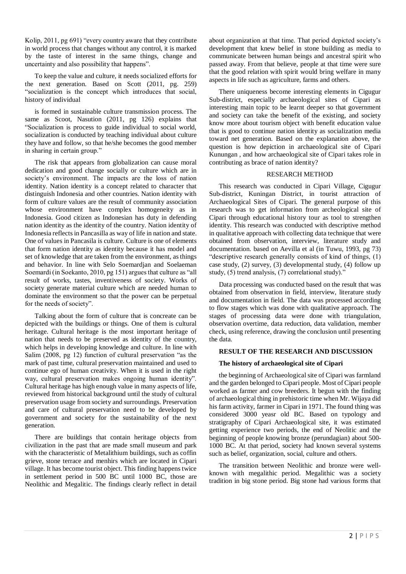Kolip, 2011, pg 691) "every country aware that they contribute in world process that changes without any control, it is marked by the taste of interest in the same things, change and uncertainty and also possibility that happens".

To keep the value and culture, it needs socialized efforts for the next generation. Based on Scott (2011, pg. 259) "socialization is the concept which introduces that social, history of individual

is formed in sustainable culture transmission process. The same as Scoot, Nasution (2011, pg 126) explains that "Socialization is process to guide individual to social world, socialization is conducted by teaching individual about culture they have and follow, so that he/she becomes the good member in sharing in certain group."

The risk that appears from globalization can cause moral dedication and good change socially or culture which are in society's environment. The impacts are the loss of nation identity. Nation identity is a concept related to character that distinguish Indonesia and other countries. Nation identity with form of culture values are the result of community association whose environment have complex homogeneity as in Indonesia. Good citizen as Indonesian has duty in defending nation identity as the identity of the country. Nation identity of Indonesia reflects in Pancasilla as way of life in nation and state. One of values in Pancasila is culture. Culture is one of elements that form nation identity as identity because it has model and set of knowledge that are taken from the environment, as things and behavior. In line with Selo Soemardjan and Soelaeman Soemardi (in Soekanto, 2010, pg 151) argues that culture as "all result of works, tastes, inventiveness of society. Works of society generate material culture which are needed human to dominate the environment so that the power can be perpetual for the needs of society".

Talking about the form of culture that is concreate can be depicted with the buildings or things. One of them is cultural heritage. Cultural heritage is the most important heritage of nation that needs to be preserved as identity of the country, which helps in developing knowledge and culture. In line with Salim (2008, pg 12) function of cultural preservation "as the mark of past time, cultural preservation maintained and used to continue ego of human creativity. When it is used in the right way, cultural preservation makes ongoing human identity". Cultural heritage has high enough value in many aspects of life, reviewed from historical background until the study of cultural preservation usage from society and surroundings. Preservation and care of cultural preservation need to be developed by government and society for the sustainability of the next generation.

There are buildings that contain heritage objects from civilization in the past that are made small museum and park with the characteristic of Metalithium buildings, such as coffin grieve, stone terrace and menhirs which are located in Cipari village. It has become tourist object. This finding happens twice in settlement period in 500 BC until 1000 BC, those are Neolithic and Megalitic. The findings clearly reflect in detail

about organization at that time. That period depicted society's development that knew belief in stone building as media to communicate between human beings and ancestral spirit who passed away. From that believe, people at that time were sure that the good relation with spirit would bring welfare in many aspects in life such as agriculture, farms and others.

There uniqueness become interesting elements in Cigugur Sub-district, especially archaeological sites of Cipari as interesting main topic to be learnt deeper so that government and society can take the benefit of the existing, and society know more about tourism object with benefit education value that is good to continue nation identity as socialization media toward net generation. Based on the explanation above, the question is how depiction in archaeological site of Cipari Kunungan , and how archaeological site of Cipari takes role in contributing as brace of nation identity?

### RESEARCH METHOD

This research was conducted in Cipari Village, Cigugur Sub-district, Kuningan District, in tourist attraction of Archaeological Sites of Cipari. The general purpose of this research was to get information from archeological site of Cipari through educational history tour as tool to strengthen identity. This research was conducted with descriptive method in qualitative approach with collecting data technique that were obtained from observation, interview, literature study and documentation. based on Aevilla et al (in Tuwu, 1993, pg 73) "descriptive research generally consists of kind of things, (1) case study, (2) survey, (3) developmental study, (4) follow up study, (5) trend analysis, (7) correlational study)."

Data processing was conducted based on the result that was obtained from observation in field, interview, literature study and documentation in field. The data was processed according to flow stages which was done with qualitative approach. The stages of processing data were done with triangulation, observation overtime, data reduction, data validation, member check, using reference, drawing the conclusion until presenting the data.

#### **RESULT OF THE RESEARCH AND DISCUSSION**

# **The history of archaeological site of Cipari**

the beginning of Archaeological site of Cipari was farmland and the garden belonged to Cipari people. Most of Cipari people worked as farmer and cow breeders. It begun with the finding of archaeological thing in prehistoric time when Mr. Wijaya did his farm activity, farmer in Cipari in 1971. The found thing was considered 3000 yeasr old BC. Based on typology and stratigraphy of Cipari Archaeological site, it was estimated getting experience two periods, the end of Neolitic and the beginning of people knowing bronze (perundagian) about 500- 1000 BC. At that period, society had known several systems such as belief, organization, social, culture and others.

The transition between Neolithic and bronze were wellknown with megalithic period. Megalithic was a society tradition in big stone period. Big stone had various forms that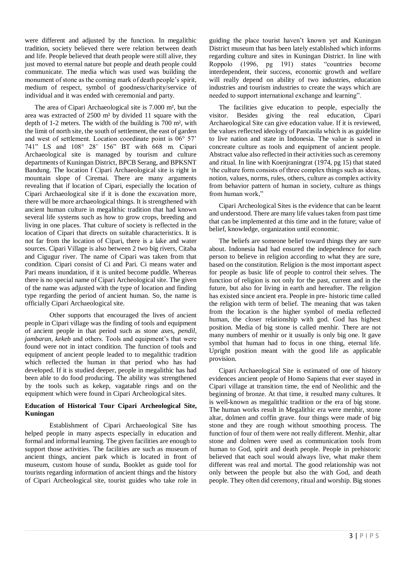were different and adjusted by the function. In megalithic tradition, society believed there were relation between death and life. People believed that death people were still alive, they just moved to eternal nature but people and death people could communicate. The media which was used was building the monument of stone as the coming mark of death people's spirit, medium of respect, symbol of goodness/charity/service of individual and it was ended with ceremonial and party.

The area of Cipari Archaeological site is 7.000 m², but the area was extracted of 2500 m² by divided 11 square with the depth of 1-2 meters. The width of the building is 700 m², with the limit of north site, the south of settlement, the east of garden and west of settlement. Location coordinate point is 06° 57' 741" LS and 108° 28' 156" BT with 668 m. Cipari Archaeological site is managed by tourism and culture departments of Kuningan District, BPCB Serang, and BPKSNT Bandung. The location f Cipari Archaeological site is right in mountain slope of Ciremai. There are many arguments revealing that if location of Cipari, especially the location of Cipari Archaeological site if it is done the excavation more, there will be more archaeological things. It is strengthened with ancient human culture in megalithic tradition that had known several life systems such as how to grow crops, breeding and living in one places. That culture of society is reflected in the location of Cipari that directs on suitable characteristics. It is not far from the location of Cipari, there is a lake and water sources. Cipari Village is also between 2 two big rivers, Citaba and Cigugur river. The name of Cipari was taken from that condition. Cipari consist of Ci and Pari. Ci means water and Pari means inundation, if it is united become puddle. Whereas there is no special name of Cipari Archeological site. The given of the name was adjusted with the type of location and finding type regarding the period of ancient human. So, the name is officially Cipari Archaeological site.

Other supports that encouraged the lives of ancient people in Cipari village was the finding of tools and equipment of ancient people in that period such as stone axes, *pendil, jambaran, kekeb* and others. Tools and equipment's that were found were not in intact condition. The function of tools and equipment of ancient people leaded to to megalithic tradition which reflected the human in that period who has had developed. If it is studied deeper, people in megalithic has had been able to do food producing. The ability was strengthened by the tools such as kekep, vagatable rings and on the equipment which were found in Cipari Archeological sites.

# **Education of Historical Tour Cipari Archeological Site, Kuningan**

Establishment of Cipari Archaeological Site has helped people in many aspects especially in education and formal and informal learning. The given facilities are enough to support those activities. The facilities are such as museum of ancient things, ancient park which is located in front of museum, custom house of sunda, Booklet as guide tool for tourists regarding information of ancient things and the history of Cipari Archeological site, tourist guides who take role in

guiding the place tourist haven't known yet and Kuningan District museum that has been lately established which informs regarding culture and sites in Kuningan District. In line with Roppolo (1996, pg 191) states "countries become interdependent, their success, economic growth and welfare will really depend on ability of two industries, education industries and tourism industries to create the ways which are needed to support international exchange and learning".

The facilities give education to people, especially the visitor. Besides giving the real education, Cipari Archaeological Site can give education value. If it is reviewed, the values reflected ideology of Pancasila which is as guideline to live nation and state in Indonesia. The value is saved in concreate culture as tools and equipment of ancient people. Abstract value also reflected in their activities such as ceremony and ritual. In line with Koenjraningrat (1974, pg 15) that stated 'the culture form consists of three complex things such as ideas, notion, values, norms, rules, others, culture as complex activity from behavior pattern of human in society, culture as things from human work,"

Cipari Archeological Sites is the evidence that can be learnt and understood. There are many life values taken from past time that can be implemented at this time and in the future; value of belief, knowledge, organization until economic.

The beliefs are someone belief toward things they are sure about. Indonesia had had ensured the independence for each person to believe in religion according to what they are sure, based on the constitution. Religion is the most important aspect for people as basic life of people to control their selves. The function of religion is not only for the past, current and in the future, but also for living in earth and hereafter. The religion has existed since ancient era. People in pre- historic time called the religion with term of belief. The meaning that was taken from the location is the higher symbol of media reflected human, the closer relationship with god. God has highest position. Media of big stone is called menhir. There are not many numbers of menhir or it usually is only big one. It gave symbol that human had to focus in one thing, eternal life. Upright position meant with the good life as applicable provision.

Cipari Archaeological Site is estimated of one of history evidences ancient people of Homo Sapiens that ever stayed in Cipari village at transition time, the end of Neolithic and the beginning of bronze. At that time, it resulted many cultures. It is well-known as megalithic tradition or the era of big stone. The human works result in Megalithic era were menhir, stone altar, dolmen and coffin grave. four things were made of big stone and they are rough without smoothing process. The function of four of them were not really different. Menhir, altar stone and dolmen were used as communication tools from human to God, spirit and death people. People in prehistoric believed that each soul would always live, what make them different was real and mortal. The good relationship was not only between the people but also the with God, and death people. They often did ceremony, ritual and worship. Big stones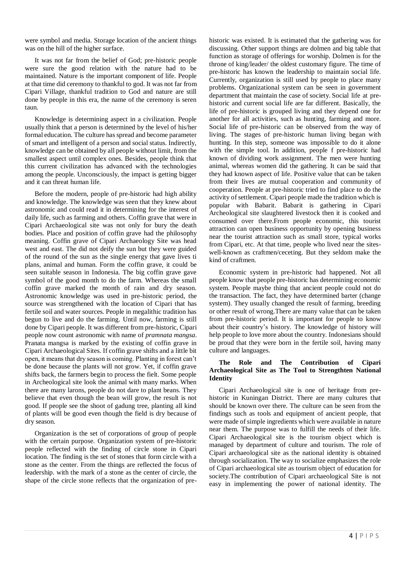were symbol and media. Storage location of the ancient things was on the hill of the higher surface.

It was not far from the belief of God; pre-historic people were sure the good relation with the nature had to be maintained. Nature is the important component of life. People at that time did ceremony to thankful to god. It was not far from Cipari Village, thankful tradition to God and nature are still done by people in this era, the name of the ceremony is seren taun.

Knowledge is determining aspect in a civilization. People usually think that a person is determined by the level of his/her formal education. The culture has spread and become parameter of smart and intelligent of a person and social status. Indirectly, knowledge can be obtained by all people without limit, from the smallest aspect until complex ones. Besides, people think that this current civilization has advanced with the technologies among the people. Unconsciously, the impact is getting bigger and it can threat human life.

Before the modern, people of pre-historic had high ability and knowledge. The knowledge was seen that they knew about astronomic and could read it in determining for the interest of daily life, such as farming and others. Coffin grave that were in Cipari Archaeological site was not only for bury the death bodies. Place and position of coffin grave had the philosophy meaning. Coffin grave of Cipari Archaeology Site was head west and east. The did not deify the sun but they were guided of the round of the sun as the single energy that gave lives ti plans, animal and human. Form the coffin grave, it could be seen suitable season in Indonesia. The big coffin grave gave symbol of the good month to do the farm. Whereas the small coffin grave marked the month of rain and dry season. Astronomic knowledge was used in pre-historic period, the source was strengthened with the location of Cipari that has fertile soil and water sources. People in megalithic tradition has begun to live and do the farming. Until now, farming is still done by Cipari people. It was different from pre-historic, Cipari people now count astronomic with name of *pramnata mangsa*. Pranata mangsa is marked by the existing of coffin grave in Cipari Archaeological Sites. If coffin grave shifts and a little bit open, it means that dry season is coming. Planting in forest can't be done because the plants will not grow. Yet, if coffin grave shifts back, the farmers begin to process the fielt. Some people in Archeological site look the animal with many marks. When there are many larons, people do not dare to plant beans. They believe that even though the bean will grow, the result is not good. If people see the shoot of gadung tree, planting all kind of plants will be good even though the field is dry because of dry season.

Organization is the set of corporations of group of people with the certain purpose. Organization system of pre-historic people reflected with the finding of circle stone in Cipari location. The finding is the set of stones that form circle with a stone as the center. From the things are reflected the focus of leadership. with the mark of a stone as the center of circle, the shape of the circle stone reflects that the organization of prehistoric was existed. It is estimated that the gathering was for discussing. Other support things are dolmen and big table that function as storage of offerings for worship. Dolmen is for the throne of king/leader/ the oldest customary figure. The time of pre-historic has known the leadership to maintain social life. Currently, organization is still used by people to place many problems. Organizational system can be seen in government department that maintain the case of society.Social life at prehistoric and current social life are far different. Basically, the life of pre-historic is grouped living and they depend one for another for all activities, such as hunting, farming and more. Social life of pre-historic can be observed from the way of living. The stages of pre-historic human living began with hunting. In this step, someone was impossible to do it alone with the simple tool. In addition, people f pre-historic had known of dividing work assignment. The men were hunting animal, whereas women did the gathering. It can be said that they had known aspect of life. Positive value that can be taken from their lives are mutual cooperation and community of cooperation. People at pre-historic tried to find place to do the activity of settlement. Cipari people made the tradition which is popular with Babarit. Babarit is gathering in Cipari Archeological site slaughtered livestock then it is cooked and consumed over there.From people economic, this tourist attraction can open business opportunity by opening business near the tourist attraction such as small store, typical works from Cipari, etc. At that time, people who lived near the siteswell-known as craftmen/ceceting. But they seldom make the kind of craftmen.

Economic system in pre-historic had happened. Not all people know that people pre-historic has determining economic system. People maybe thing that ancient people could not do the transaction. The fact, they have determined barter (change system). They usually changed the result of farming, breeding or other result of wrong.There are many value that can be taken from pre-historic period. It is important for people to know about their country's history. The knowledge of history will help people to love more about the country. Indonesians should be proud that they were born in the fertile soil, having many culture and languages.

## **The Role and The Contribution of Cipari Archaeological Site as The Tool to Strengthten National Identity**

Cipari Archaeological site is one of heritage from prehistoric in Kuningan District. There are many cultures that should be known over there. The culture can be seen from the findings such as tools and equipment of ancient people, that were made of simple ingredients which were available in nature near them. The purpose was to fulfill the needs of their life. Cipari Archaeological site is the tourism object which is managed by department of culture and tourism. The role of Cipari archaeological site as the national identity is obtained through socialization. The way to socialize emphasizes the role of Cipari archaeological site as tourism object of education for society.The contribution of Cipari archaeological Site is not easy in implementing the power of national identity. The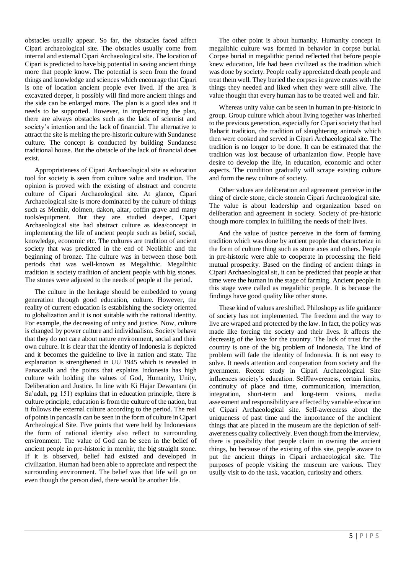obstacles usually appear. So far, the obstacles faced affect Cipari archaeological site. The obstacles usually come from internal and external Cipari Archaeological site. The location of Cipari is predicted to have big potential in saving ancient things more that people know. The potential is seen from the found things and knowledge and sciences which encourage that Cipari is one of location ancient people ever lived. If the area is excavated deeper, it possibly will find more ancient things and the side can be enlarged more. The plan is a good idea and it needs to be supported. However, in implementing the plan, there are always obstacles such as the lack of scientist and society's intention and the lack of financial. The alternative to attract the site is melting the pre-historic culture with Sundanese culture. The concept is conducted by building Sundanese traditional house. But the obstacle of the lack of financial does exist.

Appropriateness of Cipari Archaeological site as education tool for society is seen from culture value and tradition. The opinion is proved with the existing of abstract and concrete culture of Cipari Archaeological site. At glance, Cipari Archaeological site is more dominated by the culture of things such as Menhir, dolmen, dakon, altar, coffin grave and many tools/equipment. But they are studied deeper, Cipari Archaeological site had abstract culture as idea/concept in implementing the life of ancient people such as belief, social, knowledge, economic etc. The cultures are tradition of ancient society that was predicted in the end of Neolithic and the beginning of bronze. The culture was in between those both periods that was well-known as Megalithic. Megalithic tradition is society tradition of ancient people with big stones. The stones were adjusted to the needs of people at the period.

The culture in the heritage should be embedded to young generation through good education, culture. However, the reality of current education is establishing the society oriented to globalization and it is not suitable with the national identity. For example, the decreasing of unity and justice. Now, culture is changed by power culture and individualism. Society behave that they do not care about nature environment, social and their own culture. It is clear that the identity of Indonesia is depicted and it becomes the guideline to live in nation and state. The explanation is strengthened in UU 1945 which is revealed in Panacasila and the points that explains Indonesia has high culture with holding the values of God, Humanity, Unity, Deliberation and Justice. In line with Ki Hajar Dewantara (in Sa'adah, pg 151) explains that in education principle, there is culture principle, education is from the culture of the nation, but it follows the external culture according to the period. The real of points in pancasila can be seen in the form of culture in Cipari Archeological Site. Five points that were held by Indonesians the form of national identity also reflect to surrounding environment. The value of God can be seen in the belief of ancient people in pre-historic in menhir, the big straight stone. If it is observed, belief had existed and developed in civilization. Human had been able to appreciate and respect the surrounding environment. The belief was that life will go on even though the person died, there would be another life.

The other point is about humanity. Humanity concept in megalithic culture was formed in behavior in corpse burial. Corpse burial in megalithic period reflected that before people knew education, life had been civilized as the tradition which was done by society. People really appreciated death people and treat them well. They buried the corpses in grave crates with the things they needed and liked when they were still alive. The value thought that every human has to be treated well and fair.

Whereas unity value can be seen in human in pre-historic in group. Group culture which about living together was inherited to the previous generation, especially for Cipari society that had Babarit tradition, the tradition of slaughtering animals which then were cooked and served in Cipari Archaeological site. The tradition is no longer to be done. It can be estimated that the tradition was lost because of urbanization flow. People have desire to develop the life, in education, economic and other aspects. The condition gradually will scrape existing culture and form the new culture of society.

Other values are deliberation and agreement perceive in the thing of circle stone, circle stonein Cipari Archeaological site. The value is about leadership and organization based on deliberation and agreement in society. Society of pre-historic though more complex in fullfiling the needs of their lives.

And the value of justice perceive in the form of farming tradition which was done by antient people that characterize in the form of culture thing such as stone axes and others. People in pre-historic were able to cooperate in processing the field mutual prosperity. Based on the finding of ancient things in Cipari Archaeological sit, it can be predicted that people at that time were the human in the stage of farming. Ancient people in this stage were called as megalithic people. It is because the findings have good quality like other stone.

These kind of values are shifted. Philoshopy as life guidance of society has not implemented. The freedom and the way to live are wraped and protected by the law. In fact, the policy was made like forcing the society and their lives. It affects the decreasig of the love for the country. The lack of trust for the country is one of the big problem of Indonesia. The kind of problem will fade the identity of Indonesia. It is not easy to solve. It needs attention and cooperation from society and the gvernment. Recent study in Cipari Archaeological Site influences society's education. Self0awereness, certain limits, continuity of place and time, communication, interaction, integration, short-term and long-term visions, media assessment and responsibility are affected by variable education of Cipari Archaeological site. Self-awereness about the uniqueness of past time and the importance of the anchient things that are placed in the museum are the depiction of selfawereness quality collectively. Even though from the interview, there is possibility that people claim in owning the ancient things, bu because of the existing of this site, people aware to put the ancient things in Cipari archaeological site. The purposes of people visiting the museum are various. They usully visit to do the task, vacation, curiosity and others.